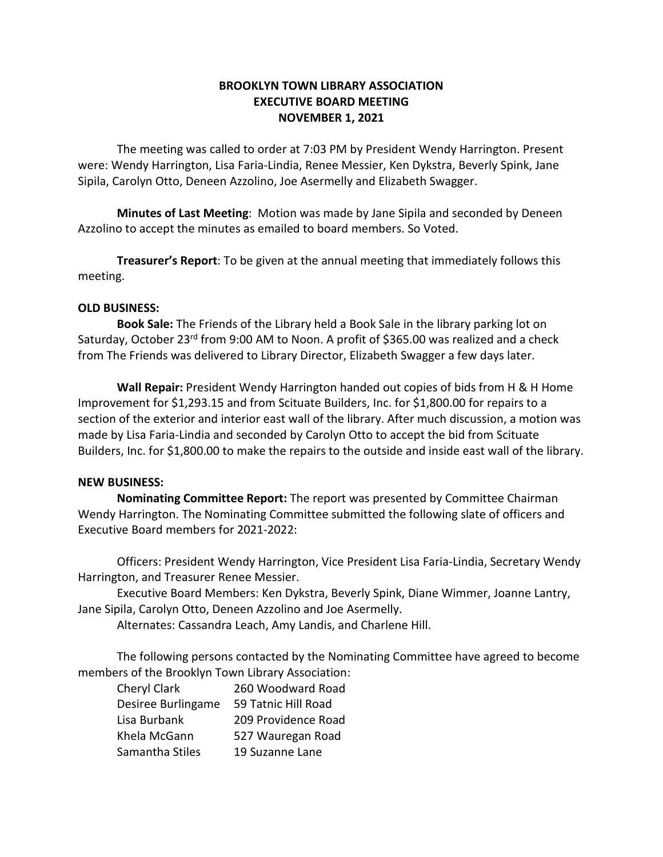## **BROOKLYN TOWN LIBRARY ASSOCIATION EXECUTIVE BOARD MEETING NOVEMBER 1, 2021**

The meeting was called to order at 7:03 PM by President Wendy Harrington. Present were: Wendy Harrington, Lisa Faria-Lindia, Renee Messier, Ken Dykstra, Beverly Spink, Jane Sipila, Carolyn Otto, Deneen Azzolino, Joe Asermelly and Elizabeth Swagger.

**Minutes of Last Meeting**: Motion was made by Jane Sipila and seconded by Deneen Azzolino to accept the minutes as emailed to board members. So Voted.

**Treasurer's Report**: To be given at the annual meeting that immediately follows this meeting.

## **OLD BUSINESS:**

**Book Sale:** The Friends of the Library held a Book Sale in the library parking lot on Saturday, October 23<sup>rd</sup> from 9:00 AM to Noon. A profit of \$365.00 was realized and a check from The Friends was delivered to Library Director, Elizabeth Swagger a few days later.

**Wall Repair:** President Wendy Harrington handed out copies of bids from H & H Home Improvement for \$1,293.15 and from Scituate Builders, Inc. for \$1,800.00 for repairs to a section of the exterior and interior east wall of the library. After much discussion, a motion was made by Lisa Faria-Lindia and seconded by Carolyn Otto to accept the bid from Scituate Builders, Inc. for \$1,800.00 to make the repairs to the outside and inside east wall of the library.

## **NEW BUSINESS:**

**Nominating Committee Report:** The report was presented by Committee Chairman Wendy Harrington. The Nominating Committee submitted the following slate of officers and Executive Board members for 2021-2022:

Officers: President Wendy Harrington, Vice President Lisa Faria-Lindia, Secretary Wendy Harrington, and Treasurer Renee Messier.

Executive Board Members: Ken Dykstra, Beverly Spink, Diane Wimmer, Joanne Lantry, Jane Sipila, Carolyn Otto, Deneen Azzolino and Joe Asermelly.

Alternates: Cassandra Leach, Amy Landis, and Charlene Hill.

The following persons contacted by the Nominating Committee have agreed to become members of the Brooklyn Town Library Association:

| Cheryl Clark       | 260 Woodward Road   |
|--------------------|---------------------|
| Desiree Burlingame | 59 Tatnic Hill Road |
| Lisa Burbank       | 209 Providence Road |
| Khela McGann       | 527 Wauregan Road   |
| Samantha Stiles    | 19 Suzanne Lane     |